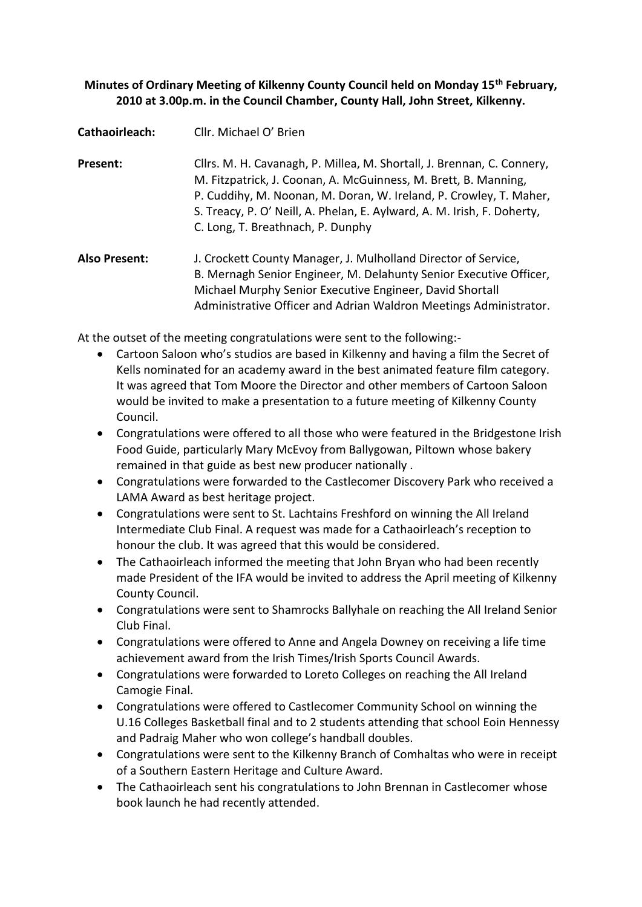# **Minutes of Ordinary Meeting of Kilkenny County Council held on Monday 15th February, 2010 at 3.00p.m. in the Council Chamber, County Hall, John Street, Kilkenny.**

| Cathaoirleach:       | Cllr. Michael O' Brien                                                                                                                                                                                                                                                                                                          |
|----------------------|---------------------------------------------------------------------------------------------------------------------------------------------------------------------------------------------------------------------------------------------------------------------------------------------------------------------------------|
| Present:             | Cllrs. M. H. Cavanagh, P. Millea, M. Shortall, J. Brennan, C. Connery,<br>M. Fitzpatrick, J. Coonan, A. McGuinness, M. Brett, B. Manning,<br>P. Cuddihy, M. Noonan, M. Doran, W. Ireland, P. Crowley, T. Maher,<br>S. Treacy, P. O' Neill, A. Phelan, E. Aylward, A. M. Irish, F. Doherty,<br>C. Long, T. Breathnach, P. Dunphy |
| <b>Also Present:</b> | J. Crockett County Manager, J. Mulholland Director of Service,<br>B. Mernagh Senior Engineer, M. Delahunty Senior Executive Officer,<br>Michael Murphy Senior Executive Engineer, David Shortall<br>Administrative Officer and Adrian Waldron Meetings Administrator.                                                           |

At the outset of the meeting congratulations were sent to the following:-

- Cartoon Saloon who's studios are based in Kilkenny and having a film the Secret of Kells nominated for an academy award in the best animated feature film category. It was agreed that Tom Moore the Director and other members of Cartoon Saloon would be invited to make a presentation to a future meeting of Kilkenny County Council.
- Congratulations were offered to all those who were featured in the Bridgestone Irish Food Guide, particularly Mary McEvoy from Ballygowan, Piltown whose bakery remained in that guide as best new producer nationally .
- Congratulations were forwarded to the Castlecomer Discovery Park who received a LAMA Award as best heritage project.
- Congratulations were sent to St. Lachtains Freshford on winning the All Ireland Intermediate Club Final. A request was made for a Cathaoirleach's reception to honour the club. It was agreed that this would be considered.
- The Cathaoirleach informed the meeting that John Bryan who had been recently made President of the IFA would be invited to address the April meeting of Kilkenny County Council.
- Congratulations were sent to Shamrocks Ballyhale on reaching the All Ireland Senior Club Final.
- Congratulations were offered to Anne and Angela Downey on receiving a life time achievement award from the Irish Times/Irish Sports Council Awards.
- Congratulations were forwarded to Loreto Colleges on reaching the All Ireland Camogie Final.
- Congratulations were offered to Castlecomer Community School on winning the U.16 Colleges Basketball final and to 2 students attending that school Eoin Hennessy and Padraig Maher who won college's handball doubles.
- Congratulations were sent to the Kilkenny Branch of Comhaltas who were in receipt of a Southern Eastern Heritage and Culture Award.
- The Cathaoirleach sent his congratulations to John Brennan in Castlecomer whose book launch he had recently attended.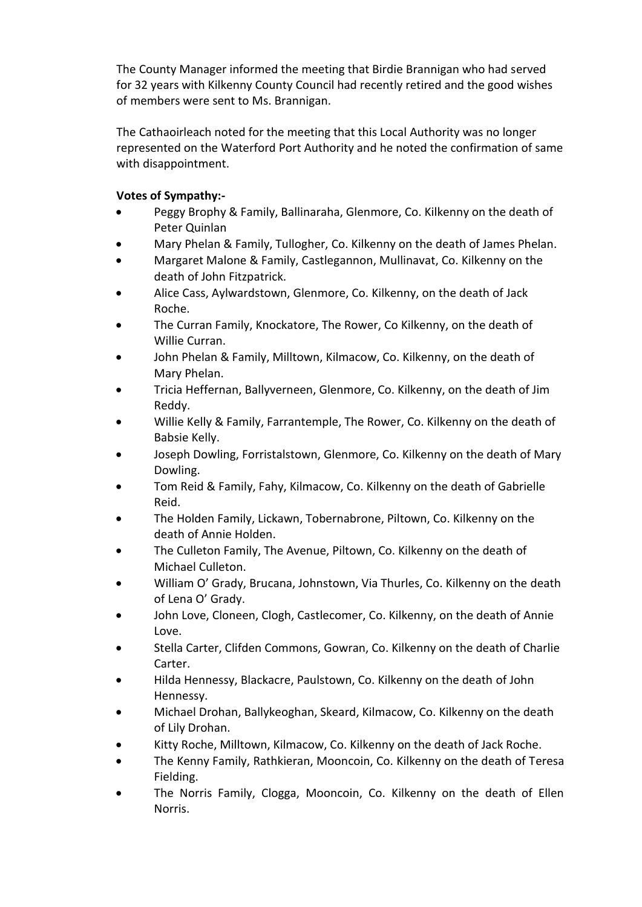The County Manager informed the meeting that Birdie Brannigan who had served for 32 years with Kilkenny County Council had recently retired and the good wishes of members were sent to Ms. Brannigan.

The Cathaoirleach noted for the meeting that this Local Authority was no longer represented on the Waterford Port Authority and he noted the confirmation of same with disappointment.

# **Votes of Sympathy:-**

- Peggy Brophy & Family, Ballinaraha, Glenmore, Co. Kilkenny on the death of Peter Quinlan
- Mary Phelan & Family, Tullogher, Co. Kilkenny on the death of James Phelan.
- Margaret Malone & Family, Castlegannon, Mullinavat, Co. Kilkenny on the death of John Fitzpatrick.
- Alice Cass, Aylwardstown, Glenmore, Co. Kilkenny, on the death of Jack Roche.
- The Curran Family, Knockatore, The Rower, Co Kilkenny, on the death of Willie Curran.
- John Phelan & Family, Milltown, Kilmacow, Co. Kilkenny, on the death of Mary Phelan.
- Tricia Heffernan, Ballyverneen, Glenmore, Co. Kilkenny, on the death of Jim Reddy.
- Willie Kelly & Family, Farrantemple, The Rower, Co. Kilkenny on the death of Babsie Kelly.
- Joseph Dowling, Forristalstown, Glenmore, Co. Kilkenny on the death of Mary Dowling.
- Tom Reid & Family, Fahy, Kilmacow, Co. Kilkenny on the death of Gabrielle Reid.
- The Holden Family, Lickawn, Tobernabrone, Piltown, Co. Kilkenny on the death of Annie Holden.
- The Culleton Family, The Avenue, Piltown, Co. Kilkenny on the death of Michael Culleton.
- William O' Grady, Brucana, Johnstown, Via Thurles, Co. Kilkenny on the death of Lena O' Grady.
- John Love, Cloneen, Clogh, Castlecomer, Co. Kilkenny, on the death of Annie Love.
- Stella Carter, Clifden Commons, Gowran, Co. Kilkenny on the death of Charlie Carter.
- Hilda Hennessy, Blackacre, Paulstown, Co. Kilkenny on the death of John Hennessy.
- Michael Drohan, Ballykeoghan, Skeard, Kilmacow, Co. Kilkenny on the death of Lily Drohan.
- Kitty Roche, Milltown, Kilmacow, Co. Kilkenny on the death of Jack Roche.
- The Kenny Family, Rathkieran, Mooncoin, Co. Kilkenny on the death of Teresa Fielding.
- The Norris Family, Clogga, Mooncoin, Co. Kilkenny on the death of Ellen Norris.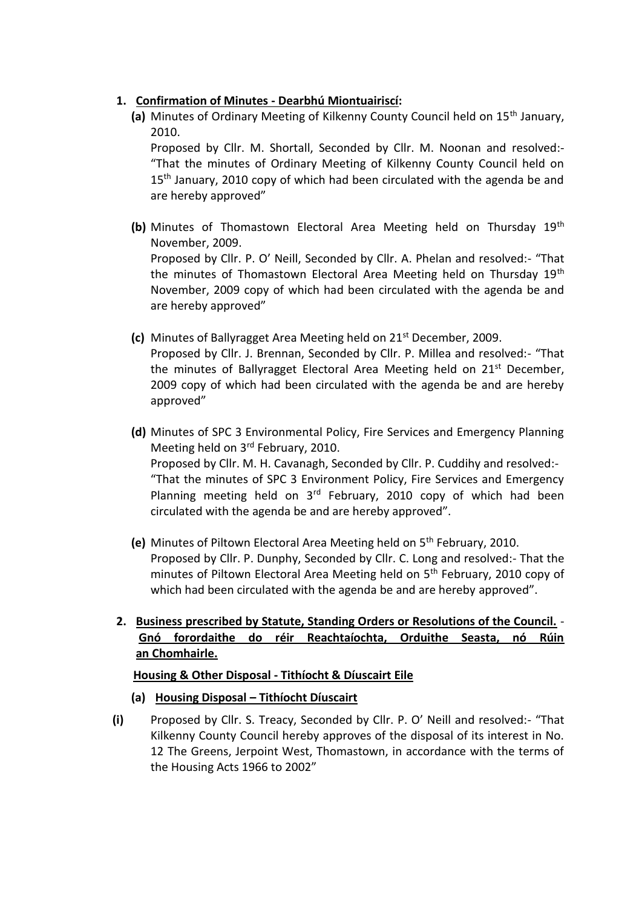# **1. Confirmation of Minutes - Dearbhú Miontuairiscí:**

**(a)** Minutes of Ordinary Meeting of Kilkenny County Council held on 15th January, 2010.

Proposed by Cllr. M. Shortall, Seconded by Cllr. M. Noonan and resolved:- "That the minutes of Ordinary Meeting of Kilkenny County Council held on 15<sup>th</sup> January, 2010 copy of which had been circulated with the agenda be and are hereby approved"

- **(b)** Minutes of Thomastown Electoral Area Meeting held on Thursday 19th November, 2009. Proposed by Cllr. P. O' Neill, Seconded by Cllr. A. Phelan and resolved:- "That the minutes of Thomastown Electoral Area Meeting held on Thursday 19<sup>th</sup> November, 2009 copy of which had been circulated with the agenda be and are hereby approved"
- **(c)** Minutes of Ballyragget Area Meeting held on 21st December, 2009. Proposed by Cllr. J. Brennan, Seconded by Cllr. P. Millea and resolved:- "That the minutes of Ballyragget Electoral Area Meeting held on  $21^{st}$  December, 2009 copy of which had been circulated with the agenda be and are hereby approved"

**(d)** Minutes of SPC 3 Environmental Policy, Fire Services and Emergency Planning Meeting held on 3<sup>rd</sup> February, 2010. Proposed by Cllr. M. H. Cavanagh, Seconded by Cllr. P. Cuddihy and resolved:- "That the minutes of SPC 3 Environment Policy, Fire Services and Emergency Planning meeting held on  $3<sup>rd</sup>$  February, 2010 copy of which had been circulated with the agenda be and are hereby approved".

- **(e)** Minutes of Piltown Electoral Area Meeting held on 5th February, 2010. Proposed by Cllr. P. Dunphy, Seconded by Cllr. C. Long and resolved:- That the minutes of Piltown Electoral Area Meeting held on 5<sup>th</sup> February, 2010 copy of which had been circulated with the agenda be and are hereby approved".
- **2. Business prescribed by Statute, Standing Orders or Resolutions of the Council. Gnó forordaithe do réir Reachtaíochta, Orduithe Seasta, nó Rúin an Chomhairle.**

## **Housing & Other Disposal - Tithíocht & Díuscairt Eile**

- **(a) Housing Disposal – Tithíocht Díuscairt**
- **(i)** Proposed by Cllr. S. Treacy, Seconded by Cllr. P. O' Neill and resolved:- "That Kilkenny County Council hereby approves of the disposal of its interest in No. 12 The Greens, Jerpoint West, Thomastown, in accordance with the terms of the Housing Acts 1966 to 2002"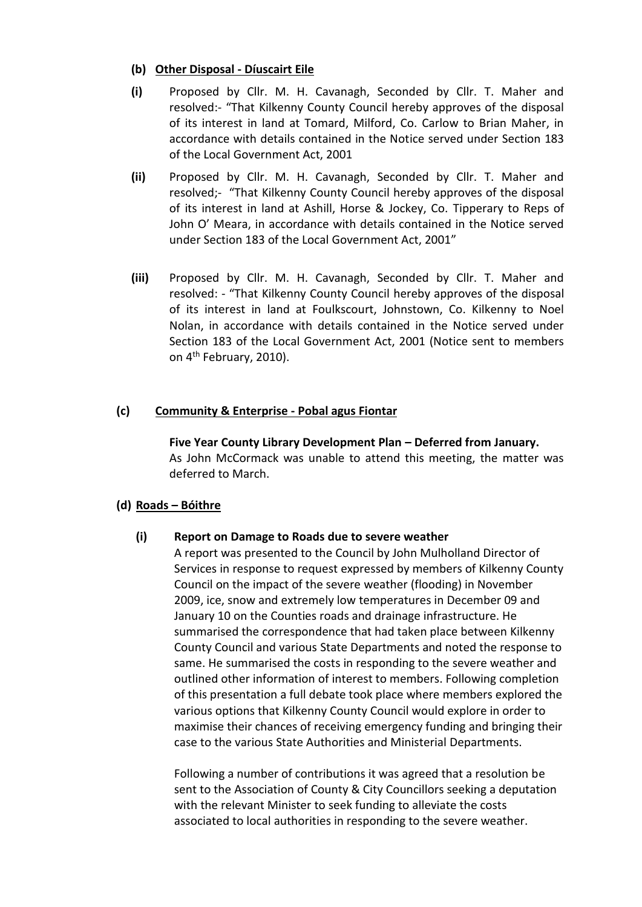## **(b) Other Disposal - Díuscairt Eile**

- **(i)** Proposed by Cllr. M. H. Cavanagh, Seconded by Cllr. T. Maher and resolved:- "That Kilkenny County Council hereby approves of the disposal of its interest in land at Tomard, Milford, Co. Carlow to Brian Maher, in accordance with details contained in the Notice served under Section 183 of the Local Government Act, 2001
- **(ii)** Proposed by Cllr. M. H. Cavanagh, Seconded by Cllr. T. Maher and resolved;- "That Kilkenny County Council hereby approves of the disposal of its interest in land at Ashill, Horse & Jockey, Co. Tipperary to Reps of John O' Meara, in accordance with details contained in the Notice served under Section 183 of the Local Government Act, 2001"
- **(iii)** Proposed by Cllr. M. H. Cavanagh, Seconded by Cllr. T. Maher and resolved: - "That Kilkenny County Council hereby approves of the disposal of its interest in land at Foulkscourt, Johnstown, Co. Kilkenny to Noel Nolan, in accordance with details contained in the Notice served under Section 183 of the Local Government Act, 2001 (Notice sent to members on 4<sup>th</sup> February, 2010).

## **(c) Community & Enterprise - Pobal agus Fiontar**

**Five Year County Library Development Plan – Deferred from January.**  As John McCormack was unable to attend this meeting, the matter was deferred to March.

### **(d) Roads – Bóithre**

### **(i) Report on Damage to Roads due to severe weather**

A report was presented to the Council by John Mulholland Director of Services in response to request expressed by members of Kilkenny County Council on the impact of the severe weather (flooding) in November 2009, ice, snow and extremely low temperatures in December 09 and January 10 on the Counties roads and drainage infrastructure. He summarised the correspondence that had taken place between Kilkenny County Council and various State Departments and noted the response to same. He summarised the costs in responding to the severe weather and outlined other information of interest to members. Following completion of this presentation a full debate took place where members explored the various options that Kilkenny County Council would explore in order to maximise their chances of receiving emergency funding and bringing their case to the various State Authorities and Ministerial Departments.

Following a number of contributions it was agreed that a resolution be sent to the Association of County & City Councillors seeking a deputation with the relevant Minister to seek funding to alleviate the costs associated to local authorities in responding to the severe weather.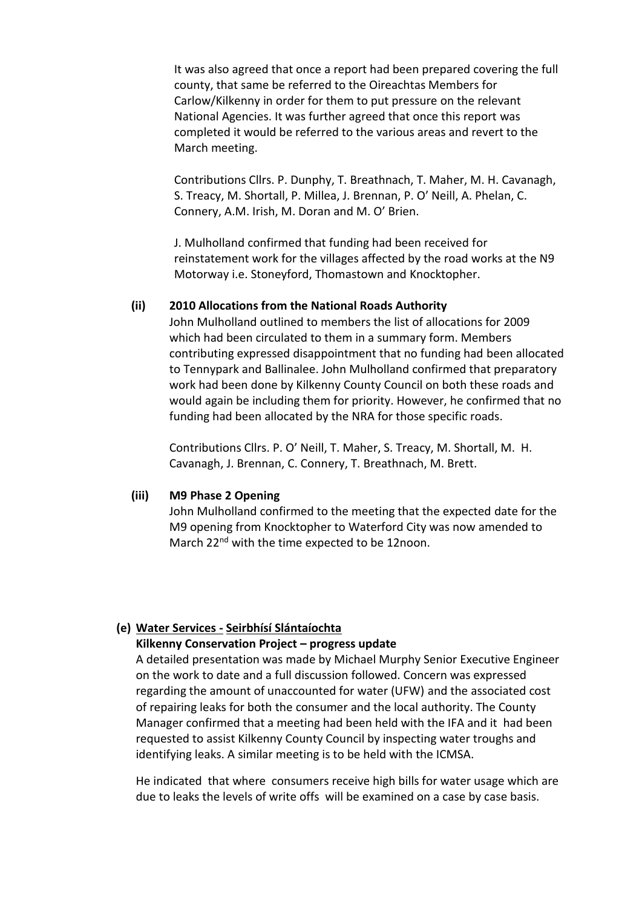It was also agreed that once a report had been prepared covering the full county, that same be referred to the Oireachtas Members for Carlow/Kilkenny in order for them to put pressure on the relevant National Agencies. It was further agreed that once this report was completed it would be referred to the various areas and revert to the March meeting.

Contributions Cllrs. P. Dunphy, T. Breathnach, T. Maher, M. H. Cavanagh, S. Treacy, M. Shortall, P. Millea, J. Brennan, P. O' Neill, A. Phelan, C. Connery, A.M. Irish, M. Doran and M. O' Brien.

J. Mulholland confirmed that funding had been received for reinstatement work for the villages affected by the road works at the N9 Motorway i.e. Stoneyford, Thomastown and Knocktopher.

### **(ii) 2010 Allocations from the National Roads Authority**

John Mulholland outlined to members the list of allocations for 2009 which had been circulated to them in a summary form. Members contributing expressed disappointment that no funding had been allocated to Tennypark and Ballinalee. John Mulholland confirmed that preparatory work had been done by Kilkenny County Council on both these roads and would again be including them for priority. However, he confirmed that no funding had been allocated by the NRA for those specific roads.

Contributions Cllrs. P. O' Neill, T. Maher, S. Treacy, M. Shortall, M. H. Cavanagh, J. Brennan, C. Connery, T. Breathnach, M. Brett.

#### **(iii) M9 Phase 2 Opening**

John Mulholland confirmed to the meeting that the expected date for the M9 opening from Knocktopher to Waterford City was now amended to March 22<sup>nd</sup> with the time expected to be 12noon.

### **(e) Water Services - Seirbhísí Slántaíochta**

#### **Kilkenny Conservation Project – progress update**

A detailed presentation was made by Michael Murphy Senior Executive Engineer on the work to date and a full discussion followed. Concern was expressed regarding the amount of unaccounted for water (UFW) and the associated cost of repairing leaks for both the consumer and the local authority. The County Manager confirmed that a meeting had been held with the IFA and it had been requested to assist Kilkenny County Council by inspecting water troughs and identifying leaks. A similar meeting is to be held with the ICMSA.

He indicated that where consumers receive high bills for water usage which are due to leaks the levels of write offs will be examined on a case by case basis.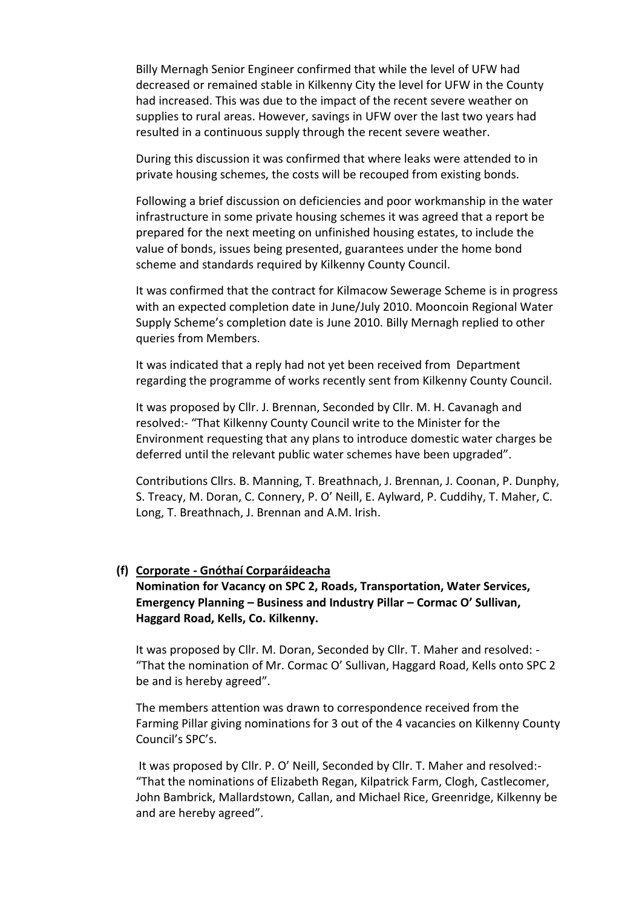Billy Mernagh Senior Engineer confirmed that while the level of UFW had decreased or remained stable in Kilkenny City the level for UFW in the County had increased. This was due to the impact of the recent severe weather on supplies to rural areas. However, savings in UFW over the last two years had resulted in a continuous supply through the recent severe weather.

During this discussion it was confirmed that where leaks were attended to in private housing schemes, the costs will be recouped from existing bonds.

Following a brief discussion on deficiencies and poor workmanship in the water infrastructure in some private housing schemes it was agreed that a report be prepared for the next meeting on unfinished housing estates, to include the value of bonds, issues being presented, guarantees under the home bond scheme and standards required by Kilkenny County Council.

It was confirmed that the contract for Kilmacow Sewerage Scheme is in progress with an expected completion date in June/July 2010. Mooncoin Regional Water Supply Scheme's completion date is June 2010. Billy Mernagh replied to other queries from Members.

It was indicated that a reply had not yet been received from Department regarding the programme of works recently sent from Kilkenny County Council.

It was proposed by Cllr. J. Brennan, Seconded by Cllr. M. H. Cavanagh and resolved:- "That Kilkenny County Council write to the Minister for the Environment requesting that any plans to introduce domestic water charges be deferred until the relevant public water schemes have been upgraded".

Contributions Cllrs. B. Manning, T. Breathnach, J. Brennan, J. Coonan, P. Dunphy, S. Treacy, M. Doran, C. Connery, P. O' Neill, E. Aylward, P. Cuddihy, T. Maher, C. Long, T. Breathnach, J. Brennan and A.M. Irish.

#### **(f) Corporate - Gnóthaí Corparáideacha**

## **Nomination for Vacancy on SPC 2, Roads, Transportation, Water Services, Emergency Planning – Business and Industry Pillar – Cormac O' Sullivan, Haggard Road, Kells, Co. Kilkenny.**

It was proposed by Cllr. M. Doran, Seconded by Cllr. T. Maher and resolved: - "That the nomination of Mr. Cormac O' Sullivan, Haggard Road, Kells onto SPC 2 be and is hereby agreed".

The members attention was drawn to correspondence received from the Farming Pillar giving nominations for 3 out of the 4 vacancies on Kilkenny County Council's SPC's.

It was proposed by Cllr. P. O' Neill, Seconded by Cllr. T. Maher and resolved:- "That the nominations of Elizabeth Regan, Kilpatrick Farm, Clogh, Castlecomer, John Bambrick, Mallardstown, Callan, and Michael Rice, Greenridge, Kilkenny be and are hereby agreed".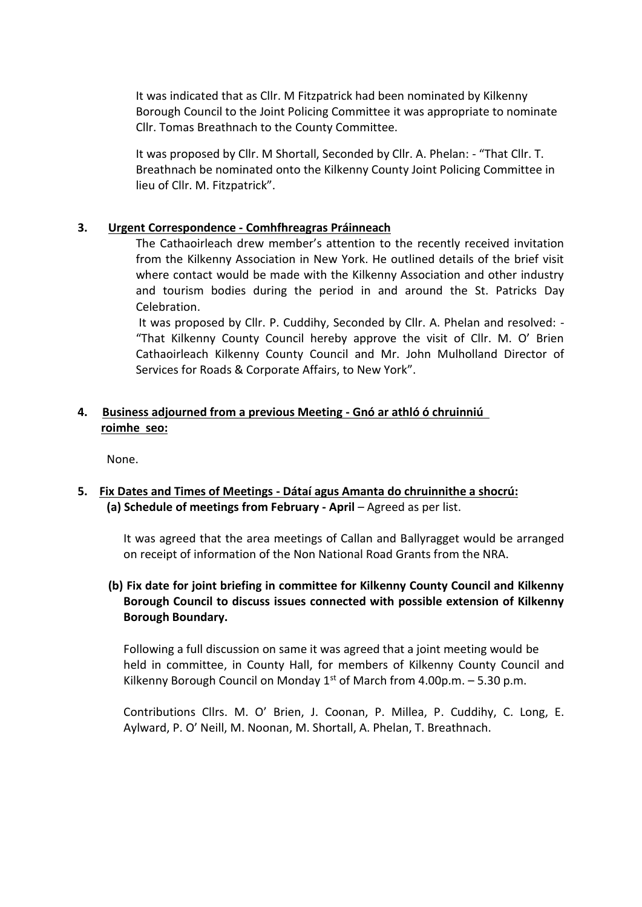It was indicated that as Cllr. M Fitzpatrick had been nominated by Kilkenny Borough Council to the Joint Policing Committee it was appropriate to nominate Cllr. Tomas Breathnach to the County Committee.

It was proposed by Cllr. M Shortall, Seconded by Cllr. A. Phelan: - "That Cllr. T. Breathnach be nominated onto the Kilkenny County Joint Policing Committee in lieu of Cllr. M. Fitzpatrick".

### **3. Urgent Correspondence - Comhfhreagras Práinneach**

The Cathaoirleach drew member's attention to the recently received invitation from the Kilkenny Association in New York. He outlined details of the brief visit where contact would be made with the Kilkenny Association and other industry and tourism bodies during the period in and around the St. Patricks Day Celebration.

It was proposed by Cllr. P. Cuddihy, Seconded by Cllr. A. Phelan and resolved: - "That Kilkenny County Council hereby approve the visit of Cllr. M. O' Brien Cathaoirleach Kilkenny County Council and Mr. John Mulholland Director of Services for Roads & Corporate Affairs, to New York".

# **4. Business adjourned from a previous Meeting - Gnó ar athló ó chruinniú roimhe seo:**

None.

# **5. Fix Dates and Times of Meetings - Dátaí agus Amanta do chruinnithe a shocrú: (a) Schedule of meetings from February - April** – Agreed as per list.

It was agreed that the area meetings of Callan and Ballyragget would be arranged on receipt of information of the Non National Road Grants from the NRA.

# **(b) Fix date for joint briefing in committee for Kilkenny County Council and Kilkenny Borough Council to discuss issues connected with possible extension of Kilkenny Borough Boundary.**

Following a full discussion on same it was agreed that a joint meeting would be held in committee, in County Hall, for members of Kilkenny County Council and Kilkenny Borough Council on Monday  $1<sup>st</sup>$  of March from 4.00p.m.  $-5.30$  p.m.

Contributions Cllrs. M. O' Brien, J. Coonan, P. Millea, P. Cuddihy, C. Long, E. Aylward, P. O' Neill, M. Noonan, M. Shortall, A. Phelan, T. Breathnach.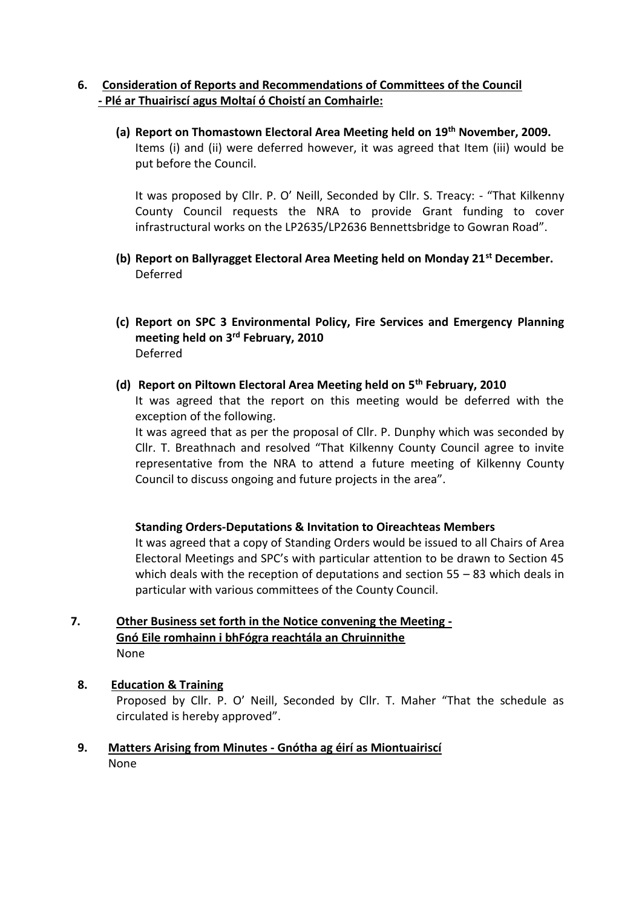# **6. Consideration of Reports and Recommendations of Committees of the Council - Plé ar Thuairiscí agus Moltaí ó Choistí an Comhairle:**

**(a) Report on Thomastown Electoral Area Meeting held on 19th November, 2009.** Items (i) and (ii) were deferred however, it was agreed that Item (iii) would be put before the Council.

It was proposed by Cllr. P. O' Neill, Seconded by Cllr. S. Treacy: - "That Kilkenny County Council requests the NRA to provide Grant funding to cover infrastructural works on the LP2635/LP2636 Bennettsbridge to Gowran Road".

- **(b) Report on Ballyragget Electoral Area Meeting held on Monday 21st December.** Deferred
- **(c) Report on SPC 3 Environmental Policy, Fire Services and Emergency Planning meeting held on 3rd February, 2010**  Deferred
- **(d) Report on Piltown Electoral Area Meeting held on 5th February, 2010**

It was agreed that the report on this meeting would be deferred with the exception of the following.

It was agreed that as per the proposal of Cllr. P. Dunphy which was seconded by Cllr. T. Breathnach and resolved "That Kilkenny County Council agree to invite representative from the NRA to attend a future meeting of Kilkenny County Council to discuss ongoing and future projects in the area".

## **Standing Orders-Deputations & Invitation to Oireachteas Members**

It was agreed that a copy of Standing Orders would be issued to all Chairs of Area Electoral Meetings and SPC's with particular attention to be drawn to Section 45 which deals with the reception of deputations and section 55 – 83 which deals in particular with various committees of the County Council.

## **7. Other Business set forth in the Notice convening the Meeting - Gnó Eile romhainn i bhFógra reachtála an Chruinnithe** None

### **8. Education & Training**

Proposed by Cllr. P. O' Neill, Seconded by Cllr. T. Maher "That the schedule as circulated is hereby approved".

**9. Matters Arising from Minutes - Gnótha ag éirí as Miontuairiscí** None